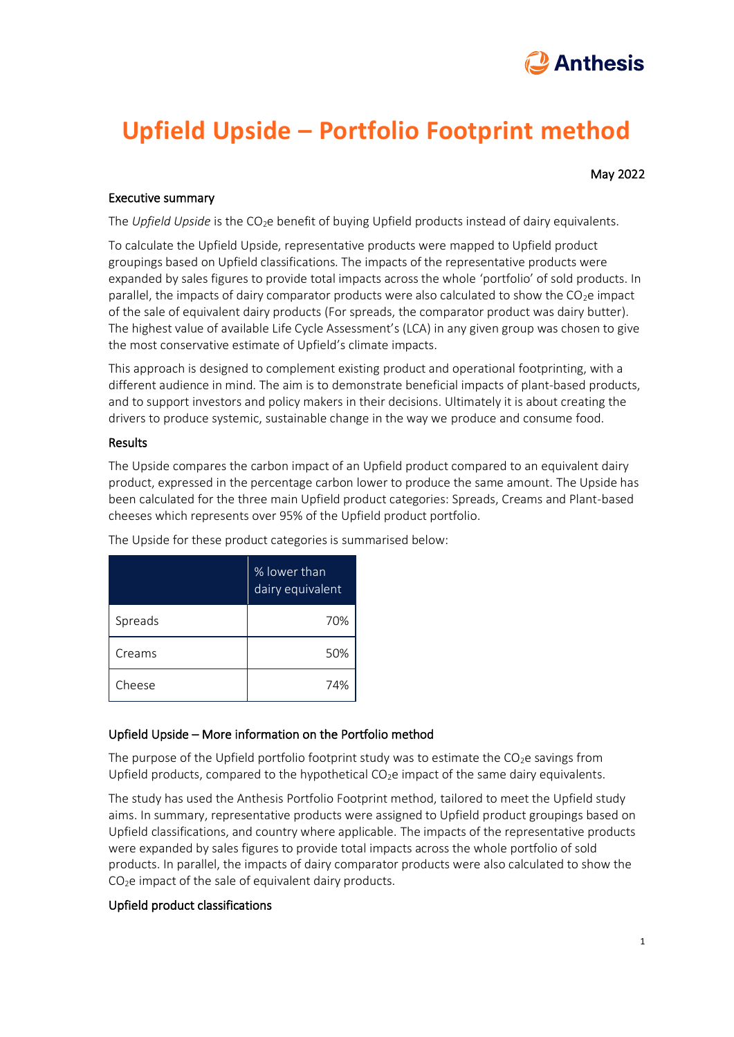

# **Upfield Upside – Portfolio Footprint method**

May 2022

### Executive summary

The *Upfield Upside* is the CO<sub>2</sub>e benefit of buying Upfield products instead of dairy equivalents.

To calculate the Upfield Upside, representative products were mapped to Upfield product groupings based on Upfield classifications. The impacts of the representative products were expanded by sales figures to provide total impacts across the whole 'portfolio' of sold products. In parallel, the impacts of dairy comparator products were also calculated to show the  $CO<sub>2</sub>e$  impact of the sale of equivalent dairy products (For spreads, the comparator product was dairy butter). The highest value of available Life Cycle Assessment's (LCA) in any given group was chosen to give the most conservative estimate of Upfield's climate impacts.

This approach is designed to complement existing product and operational footprinting, with a different audience in mind. The aim is to demonstrate beneficial impacts of plant-based products, and to support investors and policy makers in their decisions. Ultimately it is about creating the drivers to produce systemic, sustainable change in the way we produce and consume food.

#### Results

The Upside compares the carbon impact of an Upfield product compared to an equivalent dairy product, expressed in the percentage carbon lower to produce the same amount. The Upside has been calculated for the three main Upfield product categories: Spreads, Creams and Plant-based cheeses which represents over 95% of the Upfield product portfolio.

|         | % lower than<br>dairy equivalent |
|---------|----------------------------------|
| Spreads | 70%                              |
| Creams  | 50%                              |
| Cheese  | 74%                              |

The Upside for these product categories is summarised below:

## Upfield Upside – More information on the Portfolio method

The purpose of the Upfield portfolio footprint study was to estimate the  $CO<sub>2</sub>e$  savings from Upfield products, compared to the hypothetical  $CO<sub>2</sub>e$  impact of the same dairy equivalents.

The study has used the Anthesis Portfolio Footprint method, tailored to meet the Upfield study aims. In summary, representative products were assigned to Upfield product groupings based on Upfield classifications, and country where applicable. The impacts of the representative products were expanded by sales figures to provide total impacts across the whole portfolio of sold products. In parallel, the impacts of dairy comparator products were also calculated to show the CO<sub>2</sub>e impact of the sale of equivalent dairy products.

## Upfield product classifications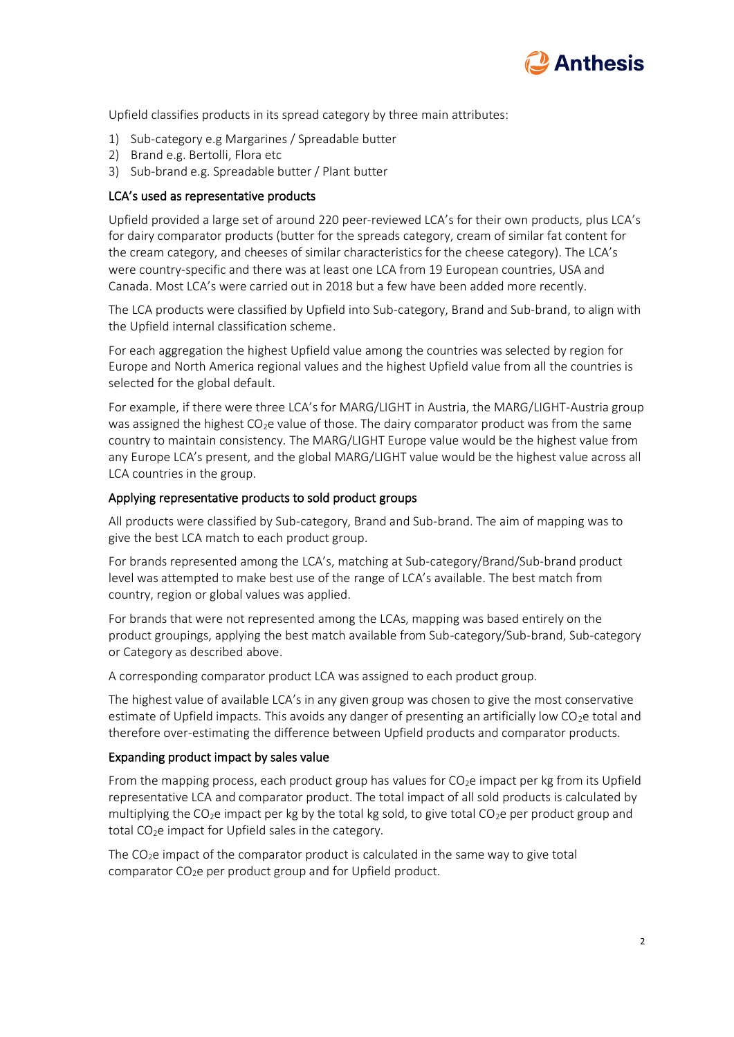

Upfield classifies products in its spread category by three main attributes:

- 1) Sub-category e.g Margarines / Spreadable butter
- 2) Brand e.g. Bertolli, Flora etc
- 3) Sub-brand e.g. Spreadable butter / Plant butter

### LCA's used as representative products

Upfield provided a large set of around 220 peer-reviewed LCA's for their own products, plus LCA's for dairy comparator products (butter for the spreads category, cream of similar fat content for the cream category, and cheeses of similar characteristics for the cheese category). The LCA's were country-specific and there was at least one LCA from 19 European countries, USA and Canada. Most LCA's were carried out in 2018 but a few have been added more recently.

The LCA products were classified by Upfield into Sub-category, Brand and Sub-brand, to align with the Upfield internal classification scheme.

For each aggregation the highest Upfield value among the countries was selected by region for Europe and North America regional values and the highest Upfield value from all the countries is selected for the global default.

For example, if there were three LCA's for MARG/LIGHT in Austria, the MARG/LIGHT-Austria group was assigned the highest  $CO<sub>2</sub>e$  value of those. The dairy comparator product was from the same country to maintain consistency. The MARG/LIGHT Europe value would be the highest value from any Europe LCA's present, and the global MARG/LIGHT value would be the highest value across all LCA countries in the group.

#### Applying representative products to sold product groups

All products were classified by Sub-category, Brand and Sub-brand. The aim of mapping was to give the best LCA match to each product group.

For brands represented among the LCA's, matching at Sub-category/Brand/Sub-brand product level was attempted to make best use of the range of LCA's available. The best match from country, region or global values was applied.

For brands that were not represented among the LCAs, mapping was based entirely on the product groupings, applying the best match available from Sub-category/Sub-brand, Sub-category or Category as described above.

A corresponding comparator product LCA was assigned to each product group.

The highest value of available LCA's in any given group was chosen to give the most conservative estimate of Upfield impacts. This avoids any danger of presenting an artificially low  $CO<sub>2</sub>e$  total and therefore over-estimating the difference between Upfield products and comparator products.

#### Expanding product impact by sales value

From the mapping process, each product group has values for  $CO<sub>2</sub>e$  impact per kg from its Upfield representative LCA and comparator product. The total impact of all sold products is calculated by multiplying the CO<sub>2</sub>e impact per kg by the total kg sold, to give total CO<sub>2</sub>e per product group and total  $CO<sub>2</sub>e$  impact for Upfield sales in the category.

The  $CO<sub>2</sub>e$  impact of the comparator product is calculated in the same way to give total comparator  $CO<sub>2</sub>e$  per product group and for Upfield product.